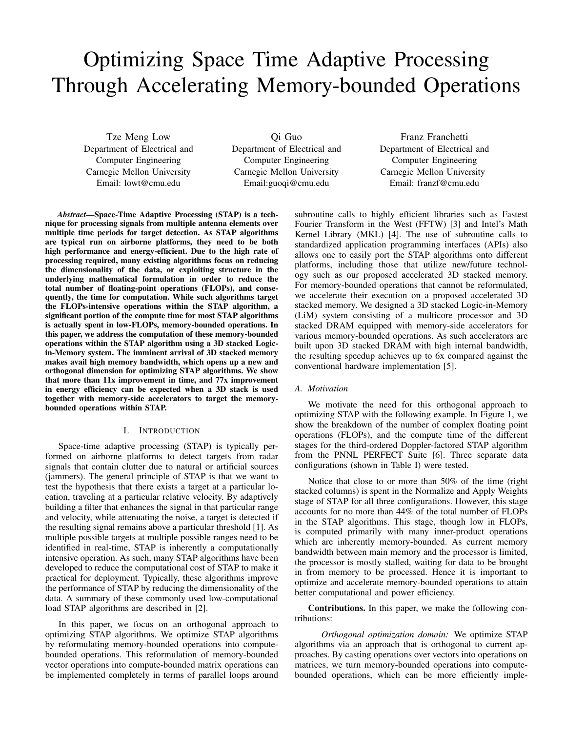# Optimizing Space Time Adaptive Processing Through Accelerating Memory-bounded Operations

Tze Meng Low Department of Electrical and Computer Engineering Carnegie Mellon University Email: lowt@cmu.edu

Qi Guo Department of Electrical and Computer Engineering Carnegie Mellon University Email:guoqi@cmu.edu

Franz Franchetti Department of Electrical and Computer Engineering Carnegie Mellon University Email: franzf@cmu.edu

*Abstract*—Space-Time Adaptive Processing (STAP) is a technique for processing signals from multiple antenna elements over multiple time periods for target detection. As STAP algorithms are typical run on airborne platforms, they need to be both high performance and energy-efficient. Due to the high rate of processing required, many existing algorithms focus on reducing the dimensionality of the data, or exploiting structure in the underlying mathematical formulation in order to reduce the total number of floating-point operations (FLOPs), and consequently, the time for computation. While such algorithms target the FLOPs-intensive operations within the STAP algorithm, a significant portion of the compute time for most STAP algorithms is actually spent in low-FLOPs, memory-bounded operations. In this paper, we address the computation of these memory-bounded operations within the STAP algorithm using a 3D stacked Logicin-Memory system. The imminent arrival of 3D stacked memory makes avail high memory bandwidth, which opens up a new and orthogonal dimension for optimizing STAP algorithms. We show that more than 11x improvement in time, and 77x improvement in energy efficiency can be expected when a 3D stack is used together with memory-side accelerators to target the memorybounded operations within STAP.

## I. INTRODUCTION

Space-time adaptive processing (STAP) is typically performed on airborne platforms to detect targets from radar signals that contain clutter due to natural or artificial sources (jammers). The general principle of STAP is that we want to test the hypothesis that there exists a target at a particular location, traveling at a particular relative velocity. By adaptively building a filter that enhances the signal in that particular range and velocity, while attenuating the noise, a target is detected if the resulting signal remains above a particular threshold [1]. As multiple possible targets at multiple possible ranges need to be identified in real-time, STAP is inherently a computationally intensive operation. As such, many STAP algorithms have been developed to reduce the computational cost of STAP to make it practical for deployment. Typically, these algorithms improve the performance of STAP by reducing the dimensionality of the data. A summary of these commonly used low-computational load STAP algorithms are described in [2].

In this paper, we focus on an orthogonal approach to optimizing STAP algorithms. We optimize STAP algorithms by reformulating memory-bounded operations into computebounded operations. This reformulation of memory-bounded vector operations into compute-bounded matrix operations can be implemented completely in terms of parallel loops around subroutine calls to highly efficient libraries such as Fastest Fourier Transform in the West (FFTW) [3] and Intel's Math Kernel Library (MKL) [4]. The use of subroutine calls to standardized application programming interfaces (APIs) also allows one to easily port the STAP algorithms onto different platforms, including those that utilize new/future technology such as our proposed accelerated 3D stacked memory. For memory-bounded operations that cannot be reformulated, we accelerate their execution on a proposed accelerated 3D stacked memory. We designed a 3D stacked Logic-in-Memory (LiM) system consisting of a multicore processor and 3D stacked DRAM equipped with memory-side accelerators for various memory-bounded operations. As such accelerators are built upon 3D stacked DRAM with high internal bandwidth, the resulting speedup achieves up to 6x compared against the conventional hardware implementation [5].

#### *A. Motivation*

We motivate the need for this orthogonal approach to optimizing STAP with the following example. In Figure 1, we show the breakdown of the number of complex floating point operations (FLOPs), and the compute time of the different stages for the third-ordered Doppler-factored STAP algorithm from the PNNL PERFECT Suite [6]. Three separate data configurations (shown in Table I) were tested.

Notice that close to or more than 50% of the time (right stacked columns) is spent in the Normalize and Apply Weights stage of STAP for all three configurations. However, this stage accounts for no more than 44% of the total number of FLOPs in the STAP algorithms. This stage, though low in FLOPs, is computed primarily with many inner-product operations which are inherently memory-bounded. As current memory bandwidth between main memory and the processor is limited, the processor is mostly stalled, waiting for data to be brought in from memory to be processed. Hence it is important to optimize and accelerate memory-bounded operations to attain better computational and power efficiency.

Contributions. In this paper, we make the following contributions:

*Orthogonal optimization domain:* We optimize STAP algorithms via an approach that is orthogonal to current approaches. By casting operations over vectors into operations on matrices, we turn memory-bounded operations into computebounded operations, which can be more efficiently imple-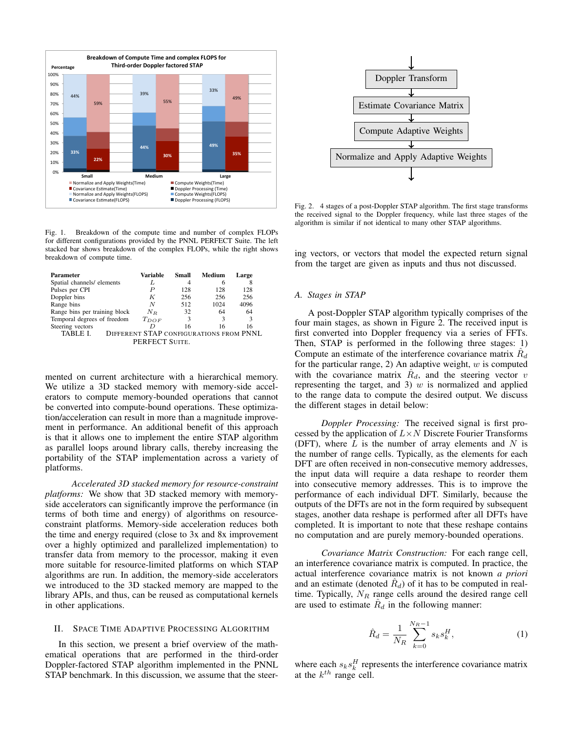

Fig. 1. Breakdown of the compute time and number of complex FLOPs for different configurations provided by the PNNL PERFECT Suite. The left stacked bar shows breakdown of the complex FLOPs, while the right shows breakdown of compute time.

| Parameter                     | Variable  | Small | Medium                                  | Large |  |
|-------------------------------|-----------|-------|-----------------------------------------|-------|--|
| Spatial channels/ elements    | L         | 4     | 6                                       |       |  |
| Pulses per CPI                | Р         | 128   | 128                                     | 128   |  |
| Doppler bins                  | K         | 256   | 256                                     | 256   |  |
| Range bins                    | N         | 512   | 1024                                    | 4096  |  |
| Range bins per training block | $N_R$     | 32    | 64                                      | 64    |  |
| Temporal degrees of freedom   | $T_{DOF}$ | 3     | 3                                       | 3     |  |
| Steering vectors              | D         | 16    | 16                                      | 16    |  |
| TABLE I.                      |           |       | DIFFERENT STAP CONFIGURATIONS FROM PNNL |       |  |
| PERFECT SUITE.                |           |       |                                         |       |  |

mented on current architecture with a hierarchical memory. We utilize a 3D stacked memory with memory-side accelerators to compute memory-bounded operations that cannot be converted into compute-bound operations. These optimization/acceleration can result in more than a magnitude improvement in performance. An additional benefit of this approach is that it allows one to implement the entire STAP algorithm as parallel loops around library calls, thereby increasing the portability of the STAP implementation across a variety of platforms.

*Accelerated 3D stacked memory for resource-constraint platforms:* We show that 3D stacked memory with memoryside accelerators can significantly improve the performance (in terms of both time and energy) of algorithms on resourceconstraint platforms. Memory-side acceleration reduces both the time and energy required (close to 3x and 8x improvement over a highly optimized and parallelized implementation) to transfer data from memory to the processor, making it even more suitable for resource-limited platforms on which STAP algorithms are run. In addition, the memory-side accelerators we introduced to the 3D stacked memory are mapped to the library APIs, and thus, can be reused as computational kernels in other applications.

#### II. SPACE TIME ADAPTIVE PROCESSING ALGORITHM

In this section, we present a brief overview of the mathematical operations that are performed in the third-order Doppler-factored STAP algorithm implemented in the PNNL STAP benchmark. In this discussion, we assume that the steer-



Fig. 2. 4 stages of a post-Doppler STAP algorithm. The first stage transforms the received signal to the Doppler frequency, while last three stages of the algorithm is similar if not identical to many other STAP algorithms.

ing vectors, or vectors that model the expected return signal from the target are given as inputs and thus not discussed.

## *A. Stages in STAP*

A post-Doppler STAP algorithm typically comprises of the four main stages, as shown in Figure 2. The received input is first converted into Doppler frequency via a series of FFTs. Then, STAP is performed in the following three stages: 1) Compute an estimate of the interference covariance matrix  $\hat{R}_d$ for the particular range, 2) An adaptive weight,  $w$  is computed with the covariance matrix  $\hat{R}_d$ , and the steering vector v representing the target, and 3)  $w$  is normalized and applied to the range data to compute the desired output. We discuss the different stages in detail below:

*Doppler Processing:* The received signal is first processed by the application of  $L \times N$  Discrete Fourier Transforms (DFT), where  $L$  is the number of array elements and  $N$  is the number of range cells. Typically, as the elements for each DFT are often received in non-consecutive memory addresses, the input data will require a data reshape to reorder them into consecutive memory addresses. This is to improve the performance of each individual DFT. Similarly, because the outputs of the DFTs are not in the form required by subsequent stages, another data reshape is performed after all DFTs have completed. It is important to note that these reshape contains no computation and are purely memory-bounded operations.

*Covariance Matrix Construction:* For each range cell, an interference covariance matrix is computed. In practice, the actual interference covariance matrix is not known *a priori* and an estimate (denoted  $\hat{R}_d$ ) of it has to be computed in realtime. Typically,  $N_R$  range cells around the desired range cell are used to estimate  $R_d$  in the following manner:

$$
\hat{R}_d = \frac{1}{N_R} \sum_{k=0}^{N_R - 1} s_k s_k^H,\tag{1}
$$

where each  $s_k s_k^H$  represents the interference covariance matrix at the  $k^{th}$  range cell.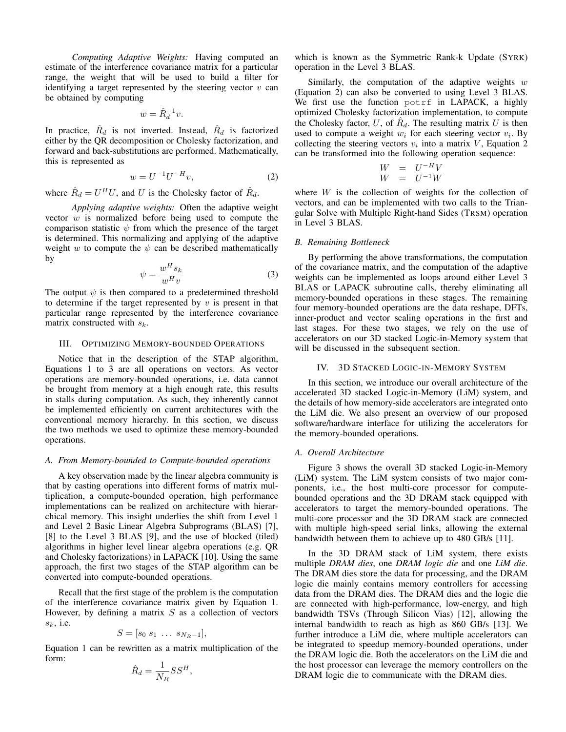*Computing Adaptive Weights:* Having computed an estimate of the interference covariance matrix for a particular range, the weight that will be used to build a filter for identifying a target represented by the steering vector  $v$  can be obtained by computing

$$
w = \hat{R}_d^{-1}v.
$$

In practice,  $\hat{R}_d$  is not inverted. Instead,  $\hat{R}_d$  is factorized either by the QR decomposition or Cholesky factorization, and forward and back-substitutions are performed. Mathematically, this is represented as

$$
w = U^{-1}U^{-H}v,
$$
 (2)

where  $\hat{R}_d = U^H U$ , and U is the Cholesky factor of  $\hat{R}_d$ .

*Applying adaptive weights:* Often the adaptive weight vector  $w$  is normalized before being used to compute the comparison statistic  $\psi$  from which the presence of the target is determined. This normalizing and applying of the adaptive weight w to compute the  $\psi$  can be described mathematically by

$$
\psi = \frac{w^H s_k}{w^H v} \tag{3}
$$

The output  $\psi$  is then compared to a predetermined threshold to determine if the target represented by  $v$  is present in that particular range represented by the interference covariance matrix constructed with  $s_k$ .

#### III. OPTIMIZING MEMORY-BOUNDED OPERATIONS

Notice that in the description of the STAP algorithm, Equations 1 to 3 are all operations on vectors. As vector operations are memory-bounded operations, i.e. data cannot be brought from memory at a high enough rate, this results in stalls during computation. As such, they inherently cannot be implemented efficiently on current architectures with the conventional memory hierarchy. In this section, we discuss the two methods we used to optimize these memory-bounded operations.

#### *A. From Memory-bounded to Compute-bounded operations*

A key observation made by the linear algebra community is that by casting operations into different forms of matrix multiplication, a compute-bounded operation, high performance implementations can be realized on architecture with hierarchical memory. This insight underlies the shift from Level 1 and Level 2 Basic Linear Algebra Subprograms (BLAS) [7], [8] to the Level 3 BLAS [9], and the use of blocked (tiled) algorithms in higher level linear algebra operations (e.g. QR and Cholesky factorizations) in LAPACK [10]. Using the same approach, the first two stages of the STAP algorithm can be converted into compute-bounded operations.

Recall that the first stage of the problem is the computation of the interference covariance matrix given by Equation 1. However, by defining a matrix  $S$  as a collection of vectors  $s_k$ , i.e.

$$
S=[s_0 s_1 \ldots s_{N_R-1}],
$$

Equation 1 can be rewritten as a matrix multiplication of the form:

$$
\hat{R}_d = \frac{1}{N_R} SS^H,
$$

which is known as the Symmetric Rank-k Update (SYRK) operation in the Level 3 BLAS.

Similarly, the computation of the adaptive weights  $w$ (Equation 2) can also be converted to using Level 3 BLAS. We first use the function potrf in LAPACK, a highly optimized Cholesky factorization implementation, to compute the Cholesky factor,  $U$ , of  $\hat{R}_d$ . The resulting matrix  $U$  is then used to compute a weight  $w_i$  for each steering vector  $v_i$ . By collecting the steering vectors  $v_i$  into a matrix V, Equation 2 can be transformed into the following operation sequence:

$$
\begin{array}{rcl} W & = & U^{-H}V \\ W & = & U^{-1}W \end{array}
$$

where W is the collection of weights for the collection of vectors, and can be implemented with two calls to the Triangular Solve with Multiple Right-hand Sides (TRSM) operation in Level 3 BLAS.

### *B. Remaining Bottleneck*

By performing the above transformations, the computation of the covariance matrix, and the computation of the adaptive weights can be implemented as loops around either Level 3 BLAS or LAPACK subroutine calls, thereby eliminating all memory-bounded operations in these stages. The remaining four memory-bounded operations are the data reshape, DFTs, inner-product and vector scaling operations in the first and last stages. For these two stages, we rely on the use of accelerators on our 3D stacked Logic-in-Memory system that will be discussed in the subsequent section.

## IV. 3D STACKED LOGIC-IN-MEMORY SYSTEM

In this section, we introduce our overall architecture of the accelerated 3D stacked Logic-in-Memory (LiM) system, and the details of how memory-side accelerators are integrated onto the LiM die. We also present an overview of our proposed software/hardware interface for utilizing the accelerators for the memory-bounded operations.

#### *A. Overall Architecture*

Figure 3 shows the overall 3D stacked Logic-in-Memory (LiM) system. The LiM system consists of two major components, i.e., the host multi-core processor for computebounded operations and the 3D DRAM stack equipped with accelerators to target the memory-bounded operations. The multi-core processor and the 3D DRAM stack are connected with multiple high-speed serial links, allowing the external bandwidth between them to achieve up to 480 GB/s [11].

In the 3D DRAM stack of LiM system, there exists multiple *DRAM dies*, one *DRAM logic die* and one *LiM die*. The DRAM dies store the data for processing, and the DRAM logic die mainly contains memory controllers for accessing data from the DRAM dies. The DRAM dies and the logic die are connected with high-performance, low-energy, and high bandwidth TSVs (Through Silicon Vias) [12], allowing the internal bandwidth to reach as high as 860 GB/s [13]. We further introduce a LiM die, where multiple accelerators can be integrated to speedup memory-bounded operations, under the DRAM logic die. Both the accelerators on the LiM die and the host processor can leverage the memory controllers on the DRAM logic die to communicate with the DRAM dies.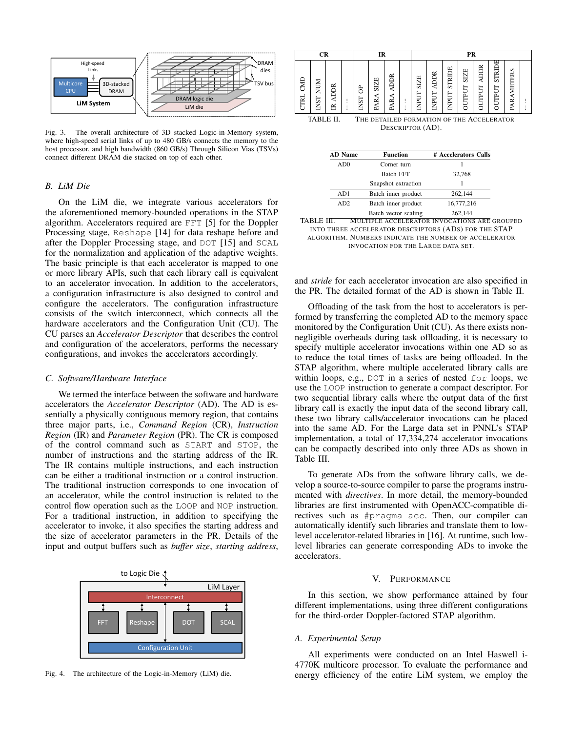

Fig. 3. The overall architecture of 3D stacked Logic-in-Memory system, where high-speed serial links of up to 480 GB/s connects the memory to the host processor, and high bandwidth (860 GB/s) Through Silicon Vias (TSVs) connect different DRAM die stacked on top of each other.

## *B. LiM Die*

On the LiM die, we integrate various accelerators for the aforementioned memory-bounded operations in the STAP algorithm. Accelerators required are FFT [5] for the Doppler Processing stage, Reshape [14] for data reshape before and after the Doppler Processing stage, and DOT [15] and SCAL for the normalization and application of the adaptive weights. The basic principle is that each accelerator is mapped to one or more library APIs, such that each library call is equivalent to an accelerator invocation. In addition to the accelerators, a configuration infrastructure is also designed to control and configure the accelerators. The configuration infrastructure consists of the switch interconnect, which connects all the hardware accelerators and the Configuration Unit (CU). The CU parses an *Accelerator Descriptor* that describes the control and configuration of the accelerators, performs the necessary configurations, and invokes the accelerators accordingly.

## *C. Software/Hardware Interface*

We termed the interface between the software and hardware accelerators the *Accelerator Descriptor* (AD). The AD is essentially a physically contiguous memory region, that contains three major parts, i.e., *Command Region* (CR), *Instruction Region* (IR) and *Parameter Region* (PR). The CR is composed of the control command such as START and STOP, the number of instructions and the starting address of the IR. The IR contains multiple instructions, and each instruction can be either a traditional instruction or a control instruction. The traditional instruction corresponds to one invocation of an accelerator, while the control instruction is related to the control flow operation such as the LOOP and NOP instruction. For a traditional instruction, in addition to specifying the accelerator to invoke, it also specifies the starting address and the size of accelerator parameters in the PR. Details of the input and output buffers such as *buffer size*, *starting address*,



Fig. 4. The architecture of the Logic-in-Memory (LiM) die.



| <b>AD Name</b> | Function            | # Accelerators Calls |
|----------------|---------------------|----------------------|
| AD0            | Corner turn         |                      |
|                | <b>Batch FFT</b>    | 32,768               |
|                | Snapshot extraction |                      |
| AD1            | Batch inner product | 262,144              |
| AD2            | Batch inner product | 16,777,216           |
|                |                     |                      |

Batch vector scaling 262,144 TABLE III. MULTIPLE ACCELERATOR INVOCATIONS ARE GROUPED INTO THREE ACCELERATOR DESCRIPTORS (ADS) FOR THE STAP ALGORITHM. NUMBERS INDICATE THE NUMBER OF ACCELERATOR INVOCATION FOR THE LARGE DATA SET.

and *stride* for each accelerator invocation are also specified in the PR. The detailed format of the AD is shown in Table II.

Offloading of the task from the host to accelerators is performed by transferring the completed AD to the memory space monitored by the Configuration Unit (CU). As there exists nonnegligible overheads during task offloading, it is necessary to specify multiple accelerator invocations within one AD so as to reduce the total times of tasks are being offloaded. In the STAP algorithm, where multiple accelerated library calls are within loops, e.g., DOT in a series of nested for loops, we use the LOOP instruction to generate a compact descriptor. For two sequential library calls where the output data of the first library call is exactly the input data of the second library call, these two library calls/accelerator invocations can be placed into the same AD. For the Large data set in PNNL's STAP implementation, a total of 17,334,274 accelerator invocations can be compactly described into only three ADs as shown in Table III.

To generate ADs from the software library calls, we develop a source-to-source compiler to parse the programs instrumented with *directives*. In more detail, the memory-bounded libraries are first instrumented with OpenACC-compatible directives such as #pragma acc. Then, our compiler can automatically identify such libraries and translate them to lowlevel accelerator-related libraries in [16]. At runtime, such lowlevel libraries can generate corresponding ADs to invoke the accelerators.

### V. PERFORMANCE

In this section, we show performance attained by four different implementations, using three different configurations for the third-order Doppler-factored STAP algorithm.

## *A. Experimental Setup*

All experiments were conducted on an Intel Haswell i-4770K multicore processor. To evaluate the performance and energy efficiency of the entire LiM system, we employ the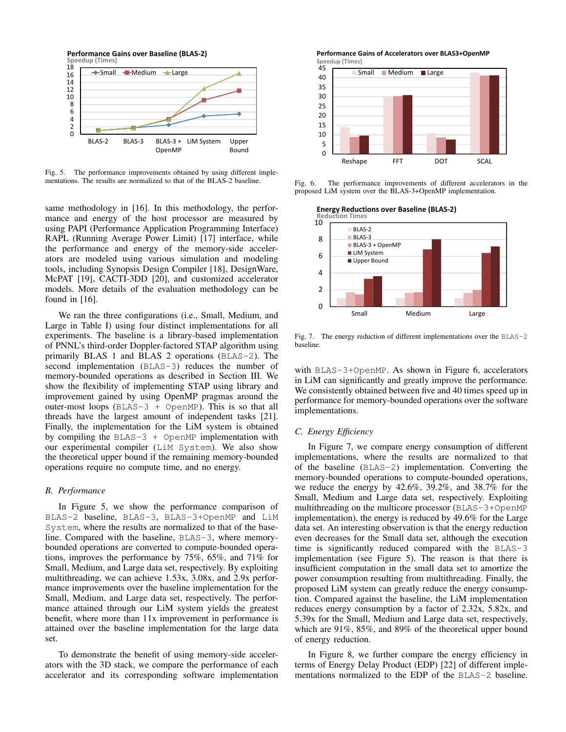**Performance Gains over Baseline (BLAS‐2) Speedup (Times)**



Fig. 5. The performance improvements obtained by using different implementations. The results are normalized to that of the BLAS-2 baseline.

same methodology in [16]. In this methodology, the performance and energy of the host processor are measured by using PAPI (Performance Application Programming Interface) RAPL (Running Average Power Limit) [17] interface, while the performance and energy of the memory-side accelerators are modeled using various simulation and modeling tools, including Synopsis Design Compiler [18], DesignWare, McPAT [19], CACTI-3DD [20], and customized accelerator models. More details of the evaluation methodology can be found in [16].

We ran the three configurations (i.e., Small, Medium, and Large in Table I) using four distinct implementations for all experiments. The baseline is a library-based implementation of PNNL's third-order Doppler-factored STAP algorithm using primarily BLAS 1 and BLAS 2 operations (BLAS-2). The second implementation (BLAS-3) reduces the number of memory-bounded operations as described in Section III. We show the flexibility of implementing STAP using library and improvement gained by using OpenMP pragmas around the outer-most loops (BLAS-3 + OpenMP). This is so that all threads have the largest amount of independent tasks [21]. Finally, the implementation for the LiM system is obtained by compiling the BLAS-3 + OpenMP implementation with our experimental compiler (LiM System). We also show the theoretical upper bound if the remaining memory-bounded operations require no compute time, and no energy.

#### *B. Performance*

In Figure 5, we show the performance comparison of BLAS-2 baseline, BLAS-3, BLAS-3+OpenMP and LiM System, where the results are normalized to that of the baseline. Compared with the baseline, BLAS-3, where memorybounded operations are converted to compute-bounded operations, improves the performance by 75%, 65%, and 71% for Small, Medium, and Large data set, respectively. By exploiting multithreading, we can achieve 1.53x, 3.08x, and 2.9x performance improvements over the baseline implementation for the Small, Medium, and Large data set, respectively. The performance attained through our LiM system yields the greatest benefit, where more than 11x improvement in performance is attained over the baseline implementation for the large data set.

To demonstrate the benefit of using memory-side accelerators with the 3D stack, we compare the performance of each accelerator and its corresponding software implementation





Fig. 6. The performance improvements of different accelerators in the proposed LiM system over the BLAS-3+OpenMP implementation.



Fig. 7. The energy reduction of different implementations over the BLAS-2 baseline.

with BLAS-3+OpenMP. As shown in Figure 6, accelerators in LiM can significantly and greatly improve the performance. We consistently obtained between five and 40 times speed up in performance for memory-bounded operations over the software implementations.

## *C. Energy Efficiency*

In Figure 7, we compare energy consumption of different implementations, where the results are normalized to that of the baseline (BLAS-2) implementation. Converting the memory-bounded operations to compute-bounded operations, we reduce the energy by 42.6%, 39.2%, and 38.7% for the Small, Medium and Large data set, respectively. Exploiting multithreading on the multicore processor (BLAS-3+OpenMP implementation), the energy is reduced by 49.6% for the Large data set. An interesting observation is that the energy reduction even decreases for the Small data set, although the execution time is significantly reduced compared with the BLAS-3 implementation (see Figure 5). The reason is that there is insufficient computation in the small data set to amortize the power consumption resulting from multithreading. Finally, the proposed LiM system can greatly reduce the energy consumption. Compared against the baseline, the LiM implementation reduces energy consumption by a factor of 2.32x, 5.82x, and 5.39x for the Small, Medium and Large data set, respectively, which are 91%, 85%, and 89% of the theoretical upper bound of energy reduction.

In Figure 8, we further compare the energy efficiency in terms of Energy Delay Product (EDP) [22] of different implementations normalized to the EDP of the BLAS-2 baseline.